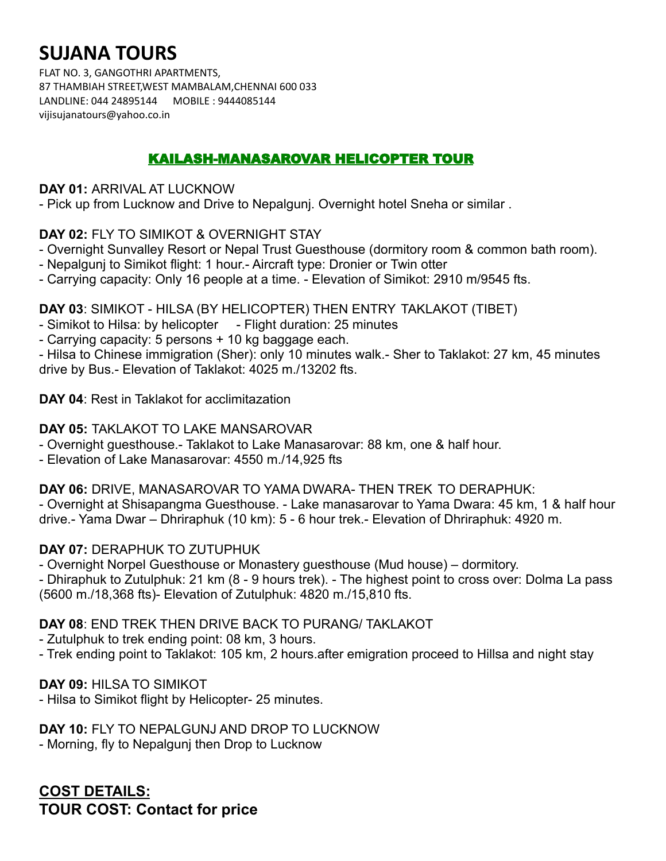# **SUJANA TOURS**

FLAT NO. 3, GANGOTHRI APARTMENTS, 87 THAMBIAH STREET,WEST MAMBALAM,CHENNAI 600 033 LANDLINE: 044 24895144 MOBILE : 9444085144 vijisujanatours@yahoo.co.in

## KAILASH-MANASAROVAR HELICOPTER TOUR

#### **DAY 01:** ARRIVAL AT LUCKNOW

- Pick up from Lucknow and Drive to Nepalgunj. Overnight hotel Sneha or similar .

#### **DAY 02:** FLY TO SIMIKOT & OVERNIGHT STAY

- Overnight Sunvalley Resort or Nepal Trust Guesthouse (dormitory room & common bath room).
- Nepalgunj to Simikot flight: 1 hour.- Aircraft type: Dronier or Twin otter
- Carrying capacity: Only 16 people at a time. Elevation of Simikot: 2910 m/9545 fts.

#### **DAY 03**: SIMIKOT - HILSA (BY HELICOPTER) THEN ENTRY TAKLAKOT (TIBET)

- Simikot to Hilsa: by helicopter Flight duration: 25 minutes
- Carrying capacity: 5 persons + 10 kg baggage each.

- Hilsa to Chinese immigration (Sher): only 10 minutes walk.- Sher to Taklakot: 27 km, 45 minutes drive by Bus.- Elevation of Taklakot: 4025 m./13202 fts.

#### **DAY 04**: Rest in Taklakot for acclimitazation

#### **DAY 05:** TAKLAKOT TO LAKE MANSAROVAR

- Overnight guesthouse.- Taklakot to Lake Manasarovar: 88 km, one & half hour.
- Elevation of Lake Manasarovar: 4550 m./14,925 fts

## **DAY 06:** DRIVE, MANASAROVAR TO YAMA DWARA- THEN TREK TO DERAPHUK:

- Overnight at Shisapangma Guesthouse. - Lake manasarovar to Yama Dwara: 45 km, 1 & half hour drive.- Yama Dwar – Dhriraphuk (10 km): 5 - 6 hour trek.- Elevation of Dhriraphuk: 4920 m.

## **DAY 07:** DERAPHUK TO ZUTUPHUK

- Overnight Norpel Guesthouse or Monastery guesthouse (Mud house) – dormitory.

- Dhiraphuk to Zutulphuk: 21 km (8 - 9 hours trek). - The highest point to cross over: Dolma La pass (5600 m./18,368 fts)- Elevation of Zutulphuk: 4820 m./15,810 fts.

## **DAY 08**: END TREK THEN DRIVE BACK TO PURANG/ TAKLAKOT

- Zutulphuk to trek ending point: 08 km, 3 hours.
- Trek ending point to Taklakot: 105 km, 2 hours.after emigration proceed to Hillsa and night stay

#### **DAY 09:** HILSA TO SIMIKOT

- Hilsa to Simikot flight by Helicopter- 25 minutes.

## **DAY 10:** FLY TO NEPALGUNJ AND DROP TO LUCKNOW

- Morning, fly to Nepalgunj then Drop to Lucknow

**COST DETAILS: TOUR COST: Contact for price**